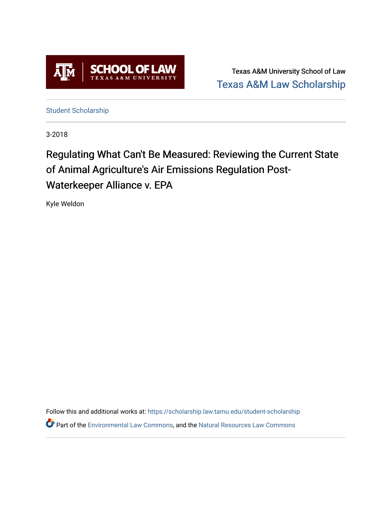

Texas A&M University School of Law [Texas A&M Law Scholarship](https://scholarship.law.tamu.edu/) 

[Student Scholarship](https://scholarship.law.tamu.edu/student-scholarship)

3-2018

# Regulating What Can't Be Measured: Reviewing the Current State of Animal Agriculture's Air Emissions Regulation Post-Waterkeeper Alliance v. EPA

Kyle Weldon

Follow this and additional works at: [https://scholarship.law.tamu.edu/student-scholarship](https://scholarship.law.tamu.edu/student-scholarship?utm_source=scholarship.law.tamu.edu%2Fstudent-scholarship%2F10&utm_medium=PDF&utm_campaign=PDFCoverPages)  Part of the [Environmental Law Commons](https://network.bepress.com/hgg/discipline/599?utm_source=scholarship.law.tamu.edu%2Fstudent-scholarship%2F10&utm_medium=PDF&utm_campaign=PDFCoverPages), and the [Natural Resources Law Commons](https://network.bepress.com/hgg/discipline/863?utm_source=scholarship.law.tamu.edu%2Fstudent-scholarship%2F10&utm_medium=PDF&utm_campaign=PDFCoverPages)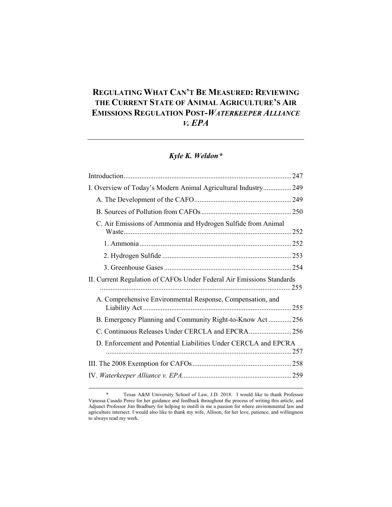# **REGULATING WHAT CAN'T BE MEASURED: REVIEWING THE CURRENT STATE OF ANIMAL AGRICULTURE'S AIR EMISSIONS REGULATION POST-***WATERKEEPER ALLIANCE V. EPA*

# *Kyle K. Weldon[\\*](#page-1-0)*

| I. Overview of Today's Modern Animal Agricultural Industry249         |  |
|-----------------------------------------------------------------------|--|
|                                                                       |  |
|                                                                       |  |
| C. Air Emissions of Ammonia and Hydrogen Sulfide from Animal          |  |
|                                                                       |  |
|                                                                       |  |
|                                                                       |  |
| II. Current Regulation of CAFOs Under Federal Air Emissions Standards |  |
| A. Comprehensive Environmental Response, Compensation, and            |  |
| B. Emergency Planning and Community Right-to-Know Act256              |  |
| C. Continuous Releases Under CERCLA and EPCRA256                      |  |
| D. Enforcement and Potential Liabilities Under CERCLA and EPCRA       |  |
|                                                                       |  |
|                                                                       |  |

<span id="page-1-0"></span><sup>\*</sup> Texas A&M University School of Law, J.D. 2018. I would like to thank Professor Vanessa Casado Perez for her guidance and feedback throughout the process of writing this article, and Adjunct Professor Jim Bradbury for helping to instill in me a passion for where environmental law and agriculture intersect. I would also like to thank my wife, Allison, for her love, patience, and willingness to always read my work.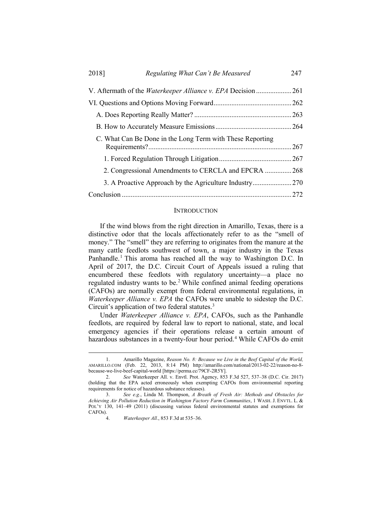| 2018] | Regulating What Can't Be Measured                         | 247 |
|-------|-----------------------------------------------------------|-----|
|       |                                                           |     |
|       |                                                           |     |
|       |                                                           |     |
|       |                                                           |     |
|       | C. What Can Be Done in the Long Term with These Reporting |     |
|       |                                                           |     |
|       | 2. Congressional Amendments to CERCLA and EPCRA 268       |     |
|       |                                                           |     |
|       |                                                           |     |

#### **INTRODUCTION**

If the wind blows from the right direction in Amarillo, Texas, there is a distinctive odor that the locals affectionately refer to as the "smell of money." The "smell" they are referring to originates from the manure at the many cattle feedlots southwest of town, a major industry in the Texas Panhandle.<sup>[1](#page-2-0)</sup> This aroma has reached all the way to Washington D.C. In April of 2017, the D.C. Circuit Court of Appeals issued a ruling that encumbered these feedlots with regulatory uncertainty—a place no regulated industry wants to be.<sup>[2](#page-2-1)</sup> While confined animal feeding operations (CAFOs) are normally exempt from federal environmental regulations, in *Waterkeeper Alliance v. EPA* the CAFOs were unable to sidestep the D.C. Circuit's application of two federal statutes.<sup>[3](#page-2-2)</sup>

Under *Waterkeeper Alliance v. EPA*, CAFOs, such as the Panhandle feedlots, are required by federal law to report to national, state, and local emergency agencies if their operations release a certain amount of hazardous substances in a twenty-four hour period.<sup>[4](#page-2-3)</sup> While CAFOs do emit

<span id="page-2-0"></span><sup>1.</sup> Amarillo Magazine, *Reason No. 8: Because we Live in the Beef Capital of the World,* AMARILLO.COM (Feb. 22, 2013, 8:14 PM) http://amarillo.com/national/2013-02-22/reason-no-8 because-we-live-beef-capital-world [https://perma.cc/79CF-2R5Y].

<span id="page-2-1"></span><sup>2.</sup> *See* Waterkeeper All. v. Envtl. Prot. Agency, 853 F.3d 527, 537–38 (D.C. Cir. 2017) (holding that the EPA acted erroneously when exempting CAFOs from environmental reporting requirements for notice of hazardous substance releases).

<span id="page-2-3"></span><span id="page-2-2"></span><sup>3.</sup> *See e.g.*, Linda M. Thompson, *A Breath of Fresh Air: Methods and Obstacles for Achieving Air Pollution Reduction in Washington Factory Farm Communities*, 1 WASH. J. ENVTL. L. & POL'Y 130, 141–49 (2011) (discussing various federal environmental statutes and exemptions for CAFOs).

<sup>4.</sup> *Waterkeeper All.*, 853 F.3d at 535–36.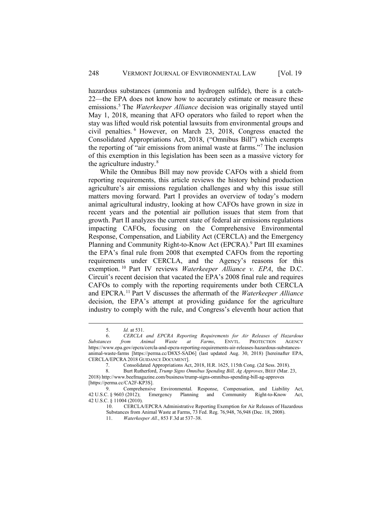hazardous substances (ammonia and hydrogen sulfide), there is a catch-22—the EPA does not know how to accurately estimate or measure these emissions.[5](#page-3-0) The *Waterkeeper Alliance* decision was originally stayed until May 1, 2018, meaning that AFO operators who failed to report when the stay was lifted would risk potential lawsuits from environmental groups and civil penalties. [6](#page-3-1) However, on March 23, 2018, Congress enacted the Consolidated Appropriations Act, 2018, ("Omnibus Bill") which exempts the reporting of "air emissions from animal waste at farms."[7](#page-3-2) The inclusion of this exemption in this legislation has been seen as a massive victory for the agriculture industry. $8<sup>8</sup>$  $8<sup>8</sup>$ 

While the Omnibus Bill may now provide CAFOs with a shield from reporting requirements, this article reviews the history behind production agriculture's air emissions regulation challenges and why this issue still matters moving forward. Part I provides an overview of today's modern animal agricultural industry, looking at how CAFOs have grown in size in recent years and the potential air pollution issues that stem from that growth. Part II analyzes the current state of federal air emissions regulations impacting CAFOs, focusing on the Comprehensive Environmental Response, Compensation, and Liability Act (CERCLA) and the Emergency Planning and Community Right-to-Know Act (EPCRA).<sup>[9](#page-3-4)</sup> Part III examines the EPA's final rule from 2008 that exempted CAFOs from the reporting requirements under CERCLA, and the Agency's reasons for this exemption. [10](#page-3-5) Part IV reviews *Waterkeeper Alliance v. EPA*, the D.C. Circuit's recent decision that vacated the EPA's 2008 final rule and requires CAFOs to comply with the reporting requirements under both CERCLA and EPCRA.[11](#page-3-6) Part V discusses the aftermath of the *Waterkeeper Alliance* decision, the EPA's attempt at providing guidance for the agriculture industry to comply with the rule, and Congress's eleventh hour action that

<sup>5.</sup> *Id.* at 531.

<span id="page-3-1"></span><span id="page-3-0"></span><sup>6.</sup> *CERCLA and EPCRA Reporting Requirements for Air Releases of Hazardous from Animal Waste at Farms*, ENVTL. PROTECTION https://www.epa.gov/epcra/cercla-and-epcra-reporting-requirements-air-releases-hazardous-substancesanimal-waste-farms [https://perma.cc/D8X5-SAD6] (last updated Aug. 30, 2018) [hereinafter EPA, CERCLA/EPCRA 2018 GUIDANCE DOCUMENT].

<sup>7.</sup> Consolidated Appropriations Act, 2018, H.R. 1625, 115th Cong. (2d Sess. 2018).<br>8. Burt Rutherford, Trump Signs Omnibus Spending Bill, Ag Approves, BEEE (Mar.

<span id="page-3-3"></span><span id="page-3-2"></span><sup>8.</sup> Burt Rutherford, *Trump Signs Omnibus Spending Bill, Ag Approves*, BEEF (Mar. 23, 2018) http://www.beefmagazine.com/business/trump-signs-omnibus-spending-bill-ag-approves [https://perma.cc/CA2F-KP3S].

<span id="page-3-6"></span><span id="page-3-5"></span><span id="page-3-4"></span><sup>9.</sup> Comprehensive Environmental. Response, Compensation, and Liability Act, 42 U.S.C. § 9603 (2012); Emergency Planning and Community Right-to-Know Act, Emergency Planning and Community Right-to-Know Act, 42 U.S.C. § 11004 (2010).

<sup>10.</sup> CERCLA/EPCRA Administrative Reporting Exemption for Air Releases of Hazardous

Substances from Animal Waste at Farms, 73 Fed. Reg. 76,948, 76,948 (Dec. 18, 2008).

<sup>11.</sup> *Waterkeeper All.*, 853 F.3d at 537–38.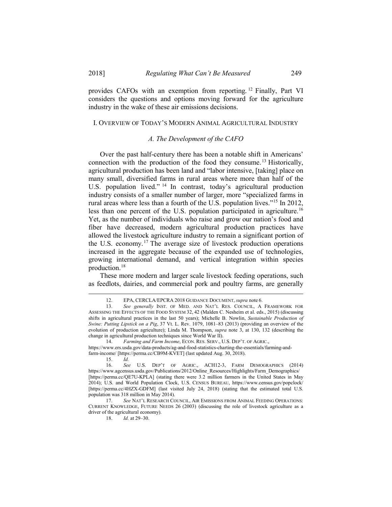provides CAFOs with an exemption from reporting. [12](#page-4-0) Finally, Part VI considers the questions and options moving forward for the agriculture industry in the wake of these air emissions decisions.

#### I. OVERVIEW OF TODAY'S MODERN ANIMAL AGRICULTURAL INDUSTRY

#### *A. The Development of the CAFO*

Over the past half-century there has been a notable shift in Americans' connection with the production of the food they consume. [13](#page-4-1) Historically, agricultural production has been land and "labor intensive, [taking] place on many small, diversified farms in rural areas where more than half of the U.S. population lived." [14](#page-4-2) In contrast, today's agricultural production industry consists of a smaller number of larger, more "specialized farms in rural areas where less than a fourth of the U.S. population lives."[15](#page-4-3) In 2012, less than one percent of the U.S. population participated in agriculture.<sup>[16](#page-4-4)</sup> Yet, as the number of individuals who raise and grow our nation's food and fiber have decreased, modern agricultural production practices have allowed the livestock agriculture industry to remain a significant portion of the U.S. economy.<sup>[17](#page-4-5)</sup> The average size of livestock production operations increased in the aggregate because of the expanded use of technologies, growing international demand, and vertical integration within species production.[18](#page-4-6)

These more modern and larger scale livestock feeding operations, such as feedlots, dairies, and commercial pork and poultry farms, are generally

<sup>12.</sup> EPA, CERCLA/EPCRA 2018 GUIDANCE DOCUMENT, *supra* note 6.

<span id="page-4-1"></span><span id="page-4-0"></span><sup>13.</sup> *See generally* INST. OF MED. AND NAT'L RES. COUNCIL, A FRAMEWORK FOR ASSESSING THE EFFECTS OF THE FOOD SYSTEM 32, 42 (Malden C. Nesheim et al. eds., 2015) (discussing shifts in agricultural practices in the last 50 years); Michelle B. Nowlin, *Sustainable Production of Swine: Putting Lipstick on a Pig*, 37 Vt. L. Rev. 1079, 1081–83 (2013) (providing an overview of the evolution of production agriculture); Linda M. Thompson, *supra* note 3, at 130, 132 (describing the change in agricultural production techniques since World War II).<br>
14 Farming and Farm Income, ECON, RES, SERV, U

<sup>14.</sup> *Farming and Farm Income*, ECON. RES. SERV., U.S. DEP'T. OF AGRIC.,

<span id="page-4-2"></span>https://www.ers.usda.gov/data-products/ag-and-food-statistics-charting-the-essentials/farming-andfarm-income/ [https://perma.cc/CB9M-KVET] (last updated Aug. 30, 2018).

<sup>15.</sup> *Id.*

<span id="page-4-4"></span><span id="page-4-3"></span>See U.S. DEP'T OF AGRIC., ACH12-3, FARM DEMOGRAPHICS (2014) https://www.agcensus.usda.gov/Publications/2012/Online\_Resources/Highlights/Farm\_Demographics/ [https://perma.cc/QE7U-KPLA] (stating there were 3.2 million farmers in the United States in May 2014); U.S. and World Population Clock, U.S. CENSUS BUREAU, https://www.census.gov/popclock/ [https://perma.cc/4HZX-GDFM] (last visited July 24, 2018) (stating that the estimated total U.S. population was 318 million in May 2014).<br>17. See NAT'L RESEARCH CO

<span id="page-4-6"></span><span id="page-4-5"></span>See NAT'L RESEARCH COUNCIL, AIR EMISSIONS FROM ANIMAL FEEDING OPERATIONS: CURRENT KNOWLEDGE, FUTURE NEEDS 26 (2003) (discussing the role of livestock agriculture as a driver of the agricultural economy).

<sup>18.</sup> *Id.* at 29–30.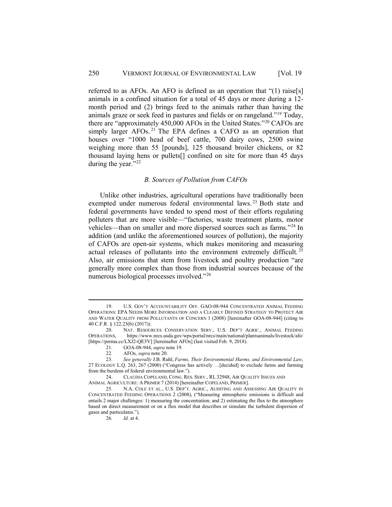referred to as AFOs. An AFO is defined as an operation that "(1) raise[s] animals in a confined situation for a total of 45 days or more during a 12 month period and (2) brings feed to the animals rather than having the animals graze or seek feed in pastures and fields or on rangeland."[19](#page-5-0) Today, there are "approximately 450,000 AFOs in the United States."[20](#page-5-1) CAFOs are simply larger AFOs.<sup>[21](#page-5-2)</sup> The EPA defines a CAFO as an operation that houses over "1000 head of beef cattle, 700 dairy cows, 2500 swine weighing more than 55 [pounds], 125 thousand broiler chickens, or 82 thousand laying hens or pullets[] confined on site for more than 45 days during the year."<sup>22</sup>

# *B. Sources of Pollution from CAFOs*

Unlike other industries, agricultural operations have traditionally been exempted under numerous federal environmental laws.<sup>[23](#page-5-4)</sup> Both state and federal governments have tended to spend most of their efforts regulating polluters that are more visible—"factories, waste treatment plants, motor vehicles—than on smaller and more dispersed sources such as farms."[24](#page-5-5) In addition (and unlike the aforementioned sources of pollution), the majority of CAFOs are open-air systems, which makes monitoring and measuring actual releases of pollutants into the environment extremely difficult.<sup>[25](#page-5-6)</sup> Also, air emissions that stem from livestock and poultry production "are generally more complex than those from industrial sources because of the numerous biological processes involved."[26](#page-5-7)

<span id="page-5-0"></span><sup>19.</sup> U.S. GOV'T ACCOUNTABILITY OFF. GAO-08-944 CONCENTRATED ANIMAL FEEDING OPERATIONS: EPA NEEDS MORE INFORMATION AND A CLEARLY DEFINED STRATEGY TO PROTECT AIR AND WATER QUALITY FROM POLLUTANTS OF CONCERN 1 (2008) [hereinafter GOA-08-944] (citing to 40 C.F.R. § 122.23(b) (2017)).

<span id="page-5-1"></span><sup>20.</sup> NAT. RESOURCES CONSERVATION SERV., U.S. DEP'T AGRIC., ANIMAL FEEDING OPERATIONS, https://www.nrcs.usda.gov/wps/portal/nrcs/main/national/plantsanimals/livestock/afo/ [https://perma.cc/LXJ2-QE5V] [hereinafter AFOs] (last visited Feb. 9, 2018).

<sup>21.</sup> GOA-08-944, *supra* note 19.

<sup>22.</sup> AFOs, *supra* note 20.

<span id="page-5-4"></span><span id="page-5-3"></span><span id="page-5-2"></span><sup>23.</sup> *See generally* J.B. Ruhl, *Farms, Their Environmental Harms, and Environmental Law*, 27 ECOLOGY L.Q. 263, 267 (2000) ("Congress has actively …[decided] to exclude farms and farming from the burdens of federal environmental law.").

<span id="page-5-5"></span><sup>24.</sup> CLAUDIA COPELAND, CONG. RES. SERV., RL 32948, AIR QUALITY ISSUES AND ANIMAL AGRICULTURE: A PRIMER 7 (2014) [hereinafter COPELAND, PRIMER].

<span id="page-5-7"></span><span id="page-5-6"></span><sup>25.</sup> N.A. COLE ET AL., U.S. DEP'T. AGRIC., AUDITING AND ASSESSING AIR QUALITY IN CONCENTRATED FEEDING OPERATIONS 2 (2008), ("Measuring atmospheric emissions is difficult and entails 2 major challenges: 1) measuring the concentration; and 2) estimating the flux to the atmosphere based on direct measurement or on a flux model that describes or simulate the turbulent dispersion of gases and particulates.").

<sup>26.</sup> *Id.* at 4.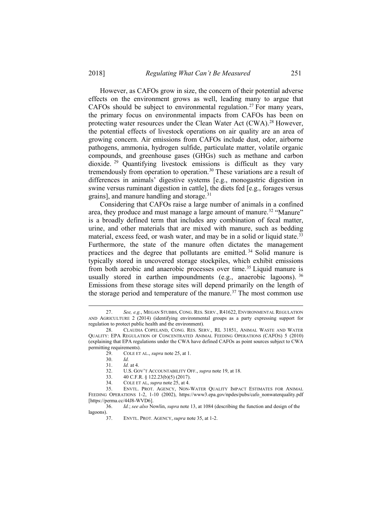However, as CAFOs grow in size, the concern of their potential adverse effects on the environment grows as well, leading many to argue that CAFOs should be subject to environmental regulation.<sup>[27](#page-6-0)</sup> For many years, the primary focus on environmental impacts from CAFOs has been on protecting water resources under the Clean Water Act (CWA).[28](#page-6-1) However, the potential effects of livestock operations on air quality are an area of growing concern. Air emissions from CAFOs include dust, odor, airborne pathogens, ammonia, hydrogen sulfide, particulate matter, volatile organic compounds, and greenhouse gases (GHGs) such as methane and carbon dioxide. [29](#page-6-2) Quantifying livestock emissions is difficult as they vary tremendously from operation to operation.<sup>[30](#page-6-3)</sup> These variations are a result of differences in animals' digestive systems [e.g., monogastric digestion in swine versus ruminant digestion in cattle], the diets fed [e.g., forages versus grains], and manure handling and storage.<sup>31</sup>

Considering that CAFOs raise a large number of animals in a confined area, they produce and must manage a large amount of manure.<sup>32</sup> "Manure" is a broadly defined term that includes any combination of fecal matter, urine, and other materials that are mixed with manure, such as bedding material, excess feed, or wash water, and may be in a solid or liquid state.<sup>[33](#page-6-6)</sup> Furthermore, the state of the manure often dictates the management practices and the degree that pollutants are emitted. [34](#page-6-7) Solid manure is typically stored in uncovered storage stockpiles, which exhibit emissions from both aerobic and anaerobic processes over time.<sup>[35](#page-6-8)</sup> Liquid manure is usually stored in earthen impoundments (e.g., anaerobic lagoons).  $36$ Emissions from these storage sites will depend primarily on the length of the storage period and temperature of the manure.<sup>[37](#page-6-10)</sup> The most common use

34. COLE ET AL, *supra* note 25, at 4.<br>35. ENVTL. PROT. AGENCY, NON-

<span id="page-6-0"></span><sup>27.</sup> *See, e.g.*, MEGAN STUBBS, CONG. RES. SERV., R41622, ENVIRONMENTAL REGULATION AND AGRICULTURE 2 (2014) (identifying environmental groups as a party expressing support for regulation to protect public health and the environment).

<span id="page-6-3"></span><span id="page-6-2"></span><span id="page-6-1"></span><sup>28.</sup> CLAUDIA COPELAND, CONG. RES. SERV., RL 31851, ANIMAL WASTE AND WATER QUALITY: EPA REGULATION OF CONCENTRATED ANIMAL FEEDING OPERATIONS (CAFOS) 5 (2010) (explaining that EPA regulations under the CWA have defined CAFOs as point sources subject to CWA permitting requirements).

<sup>29.</sup> COLE ET AL., *supra* note 25, at 1.

<sup>30.</sup> *Id.*

<sup>31.</sup> *Id.* at 4.

<sup>32.</sup> U.S. GOV'T ACCOUNTABILITY OFF., *supra* note 19, at 18.

<sup>33.</sup> 40 C.F.R. § 122.23(b)(5) (2017).

<span id="page-6-8"></span><span id="page-6-7"></span><span id="page-6-6"></span><span id="page-6-5"></span><span id="page-6-4"></span>ENVTL. PROT. AGENCY, NON-WATER QUALITY IMPACT ESTIMATES FOR ANIMAL FEEDING OPERATIONS 1-2, 1-10 (2002), https://www3.epa.gov/npdes/pubs/cafo\_nonwaterquality.pdf [https://perma.cc/44J8-WVD6].

<span id="page-6-10"></span><span id="page-6-9"></span><sup>36.</sup> *Id.*; *see also* Nowlin, *supra* note 13, at 1084 (describing the function and design of the lagoons).

<sup>37.</sup> ENVTL. PROT. AGENCY, *supra* note 35, at 1-2.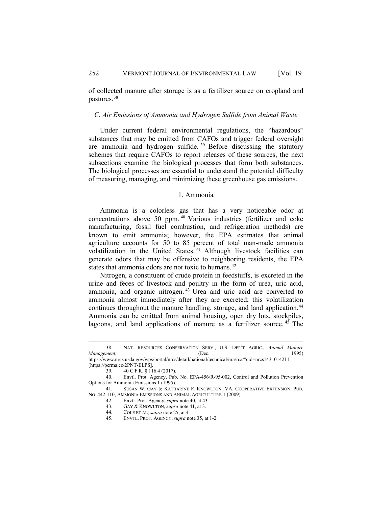of collected manure after storage is as a fertilizer source on cropland and pastures.[38](#page-7-0) 

#### *C. Air Emissions of Ammonia and Hydrogen Sulfide from Animal Waste*

Under current federal environmental regulations, the "hazardous" substances that may be emitted from CAFOs and trigger federal oversight are ammonia and hydrogen sulfide.  $39$  Before discussing the statutory schemes that require CAFOs to report releases of these sources, the next subsections examine the biological processes that form both substances. The biological processes are essential to understand the potential difficulty of measuring, managing, and minimizing these greenhouse gas emissions.

#### 1. Ammonia

Ammonia is a colorless gas that has a very noticeable odor at concentrations above 50 ppm. [40](#page-7-2) Various industries (fertilizer and coke manufacturing, fossil fuel combustion, and refrigeration methods) are known to emit ammonia; however, the EPA estimates that animal agriculture accounts for 50 to 85 percent of total man-made ammonia volatilization in the United States. [41](#page-7-3) Although livestock facilities can generate odors that may be offensive to neighboring residents, the EPA states that ammonia odors are not toxic to humans.<sup>[42](#page-7-4)</sup>

Nitrogen, a constituent of crude protein in feedstuffs, is excreted in the urine and feces of livestock and poultry in the form of urea, uric acid, ammonia, and organic nitrogen. [43](#page-7-5) Urea and uric acid are converted to ammonia almost immediately after they are excreted; this volatilization continues throughout the manure handling, storage, and land application.<sup>[44](#page-7-6)</sup> Ammonia can be emitted from animal housing, open dry lots, stockpiles, lagoons, and land applications of manure as a fertilizer source.  $45$  The

<span id="page-7-0"></span><sup>38.</sup> NAT. RESOURCES CONSERVATION SERV., U.S. DEP'T AGRIC., *Animal Manure Management*, 1995) **(Dec.** 1995)

<span id="page-7-1"></span>https://www.nrcs.usda.gov/wps/portal/nrcs/detail/national/technical/nra/rca/?cid=nrcs143\_014211 [https://perma.cc/2PNT-ELPS].

<sup>39.</sup> 40 C.F.R. § 116.4 (2017).

<sup>40.</sup> Envtl. Prot. Agency, Pub. No. EPA-456/R-95-002, Control and Pollution Prevention

<span id="page-7-3"></span><span id="page-7-2"></span>Options for Ammonia Emissions 1 (1995).

<span id="page-7-7"></span><span id="page-7-6"></span><span id="page-7-5"></span><span id="page-7-4"></span><sup>41.</sup> SUSAN W. GAY & KATHARINE F. KNOWLTON, VA. COOPERATIVE EXTENSION, PUB. NO. 442-110, AMMONIA EMISSIONS AND ANIMAL AGRICULTURE 1 (2009).<br>42. Envtl. Prot. Agency, *supra* note 40, at 43.

<sup>42.</sup> Envtl. Prot. Agency, *supra* note 40, at 43.

<sup>43.</sup> GAY & KNOWLTON, *supra* note 41, at 3.<br>44. COLE ET AL, *supra* note 25, at 4.

<sup>44.</sup> COLE ET AL, *supra* note 25, at 4.

<sup>45.</sup> ENVTL. PROT. AGENCY, *supra* note 35, at 1-2.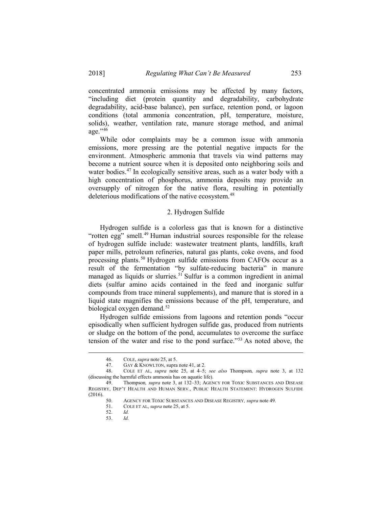concentrated ammonia emissions may be affected by many factors, "including diet (protein quantity and degradability, carbohydrate degradability, acid-base balance), pen surface, retention pond, or lagoon conditions (total ammonia concentration, pH, temperature, moisture, solids), weather, ventilation rate, manure storage method, and animal age."<sup>46</sup>

While odor complaints may be a common issue with ammonia emissions, more pressing are the potential negative impacts for the environment. Atmospheric ammonia that travels via wind patterns may become a nutrient source when it is deposited onto neighboring soils and water bodies.<sup>[47](#page-8-1)</sup> In ecologically sensitive areas, such as a water body with a high concentration of phosphorus, ammonia deposits may provide an oversupply of nitrogen for the native flora, resulting in potentially deleterious modifications of the native ecosystem.<sup>[48](#page-8-2)</sup>

# 2. Hydrogen Sulfide

Hydrogen sulfide is a colorless gas that is known for a distinctive "rotten egg" smell.<sup>[49](#page-8-3)</sup> Human industrial sources responsible for the release of hydrogen sulfide include: wastewater treatment plants, landfills, kraft paper mills, petroleum refineries, natural gas plants, coke ovens, and food processing plants.<sup>[50](#page-8-4)</sup> Hydrogen sulfide emissions from CAFOs occur as a result of the fermentation "by sulfate-reducing bacteria" in manure managed as liquids or slurries.<sup>[51](#page-8-5)</sup> Sulfur is a common ingredient in animal diets (sulfur amino acids contained in the feed and inorganic sulfur compounds from trace mineral supplements), and manure that is stored in a liquid state magnifies the emissions because of the pH, temperature, and biological oxygen demand.<sup>[52](#page-8-6)</sup>

Hydrogen sulfide emissions from lagoons and retention ponds "occur episodically when sufficient hydrogen sulfide gas, produced from nutrients or sludge on the bottom of the pond, accumulates to overcome the surface tension of the water and rise to the pond surface."[53](#page-8-7) As noted above, the

<sup>46.</sup> COLE, *supra* note 25, at 5.<br>47. GAY & KNOWLTON, supra

<sup>47.</sup> GAY & KNOWLTON, supra note 41, at 2.<br>48. COLE ET AL supra note 25 at 4–5

<span id="page-8-2"></span><span id="page-8-1"></span><span id="page-8-0"></span><sup>48.</sup> COLE ET AL, *supra* note 25, at 4–5; *see also* Thompson*, supra* note 3, at 132 (discussing the harmful effects ammonia has on aquatic life).

<span id="page-8-7"></span><span id="page-8-6"></span><span id="page-8-5"></span><span id="page-8-4"></span><span id="page-8-3"></span><sup>49.</sup> Thompson*, supra* note 3, at 132–33; AGENCY FOR TOXIC SUBSTANCES AND DISEASE REGISTRY, DEP'T HEALTH AND HUMAN SERV., PUBLIC HEALTH STATEMENT: HYDROGEN SULFIDE  $(2016).$  50.

<sup>50.</sup> AGENCY FOR TOXIC SUBSTANCES AND DISEASE REGISTRY*, supra* note 49.

<sup>51.</sup> COLE ET AL, *supra* note 25, at 5.

<sup>52.</sup> *Id.*

<sup>53.</sup> *Id.*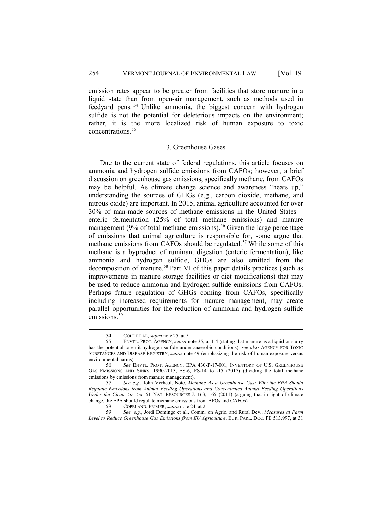emission rates appear to be greater from facilities that store manure in a liquid state than from open-air management, such as methods used in feedyard pens. [54](#page-9-0) Unlike ammonia, the biggest concern with hydrogen sulfide is not the potential for deleterious impacts on the environment; rather, it is the more localized risk of human exposure to toxic concentrations.<sup>[55](#page-9-1)</sup>

#### 3. Greenhouse Gases

Due to the current state of federal regulations, this article focuses on ammonia and hydrogen sulfide emissions from CAFOs; however, a brief discussion on greenhouse gas emissions, specifically methane, from CAFOs may be helpful. As climate change science and awareness "heats up," understanding the sources of GHGs (e.g., carbon dioxide, methane, and nitrous oxide) are important. In 2015, animal agriculture accounted for over 30% of man-made sources of methane emissions in the United States enteric fermentation (25% of total methane emissions) and manure management (9% of total methane emissions).<sup>[56](#page-9-2)</sup> Given the large percentage of emissions that animal agriculture is responsible for, some argue that methane emissions from CAFOs should be regulated.[57](#page-9-3) While some of this methane is a byproduct of ruminant digestion (enteric fermentation), like ammonia and hydrogen sulfide, GHGs are also emitted from the decomposition of manure.[58](#page-9-4) Part VI of this paper details practices (such as improvements in manure storage facilities or diet modifications) that may be used to reduce ammonia and hydrogen sulfide emissions from CAFOs. Perhaps future regulation of GHGs coming from CAFOs, specifically including increased requirements for manure management, may create parallel opportunities for the reduction of ammonia and hydrogen sulfide emissions.<sup>[59](#page-9-5)</sup>

<sup>54.</sup> COLE ET AL, *supra* note 25, at 5.<br>55. ENVTL. PROT. AGENCY, *supra* n

<span id="page-9-1"></span><span id="page-9-0"></span><sup>55.</sup> ENVTL. PROT. AGENCY, *supra* note 35, at 1-4 (stating that manure as a liquid or slurry has the potential to emit hydrogen sulfide under anaerobic conditions); *see also* AGENCY FOR TOXIC SUBSTANCES AND DISEASE REGISTRY, *supra* note 49 (emphasizing the risk of human exposure versus environmental harms).<br>56  $\frac{e}{\sqrt{e}}$ 

<span id="page-9-2"></span><sup>56.</sup> *See* ENVTL. PROT. AGENCY, EPA 430-P-17-001, INVENTORY OF U.S. GREENHOUSE GAS EMISSIONS AND SINKS: 1990-2015, ES-6, ES-14 to -15 (2017) (dividing the total methane emissions by emissions from manure management).

<span id="page-9-3"></span><sup>57.</sup> *See e.g.*, John Verheul, Note, *Methane As a Greenhouse Gas: Why the EPA Should Regulate Emissions from Animal Feeding Operations and Concentrated Animal Feeding Operations Under the Clean Air Act*, 51 NAT. RESOURCES J. 163, 165 (2011) (arguing that in light of climate change, the EPA should regulate methane emissions from AFOs and CAFOs).<br>58. COPELAND. PRIMER. *supra* note 24, at 2.

<sup>58.</sup> COPELAND, PRIMER, *supra* note 24, at 2.<br>59. See, e.g., Jordi Domingo et al., Comm.

<span id="page-9-5"></span><span id="page-9-4"></span><sup>59.</sup> *See, e.g.*, Jordi Domingo et al., Comm. on Agric. and Rural Dev., *Measures at Farm Level to Reduce Greenhouse Gas Emissions from EU Agriculture*, EUR. PARL. DOC. PE 513.997, at 31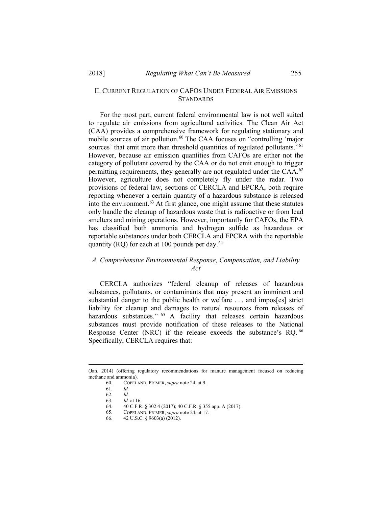# II. CURRENT REGULATION OF CAFOS UNDER FEDERAL AIR EMISSIONS **STANDARDS**

For the most part, current federal environmental law is not well suited to regulate air emissions from agricultural activities. The Clean Air Act (CAA) provides a comprehensive framework for regulating stationary and mobile sources of air pollution.<sup>[60](#page-10-0)</sup> The CAA focuses on "controlling 'major sources' that emit more than threshold quantities of regulated pollutants."<sup>[61](#page-10-1)</sup> However, because air emission quantities from CAFOs are either not the category of pollutant covered by the CAA or do not emit enough to trigger permitting requirements, they generally are not regulated under the CAA.<sup>[62](#page-10-2)</sup> However, agriculture does not completely fly under the radar. Two provisions of federal law, sections of CERCLA and EPCRA, both require reporting whenever a certain quantity of a hazardous substance is released into the environment. $63$  At first glance, one might assume that these statutes only handle the cleanup of hazardous waste that is radioactive or from lead smelters and mining operations. However, importantly for CAFOs, the EPA has classified both ammonia and hydrogen sulfide as hazardous or reportable substances under both CERCLA and EPCRA with the reportable quantity (RQ) for each at 100 pounds per day.<sup>[64](#page-10-4)</sup>

# *A. Comprehensive Environmental Response, Compensation, and Liability Act*

CERCLA authorizes "federal cleanup of releases of hazardous substances, pollutants, or contaminants that may present an imminent and substantial danger to the public health or welfare . . . and impos[es] strict liability for cleanup and damages to natural resources from releases of hazardous substances." <sup>[65](#page-10-5)</sup> A facility that releases certain hazardous substances must provide notification of these releases to the National Response Center (NRC) if the release exceeds the substance's RQ. <sup>[66](#page-10-6)</sup> Specifically, CERCLA requires that:

<span id="page-10-6"></span><span id="page-10-5"></span><span id="page-10-4"></span><span id="page-10-3"></span><span id="page-10-2"></span><span id="page-10-1"></span><span id="page-10-0"></span><sup>(</sup>Jan. 2014) (offering regulatory recommendations for manure management focused on reducing methane and ammonia).

<sup>60.</sup> COPELAND, PRIMER, *supra* note 24, at 9.

<sup>61.</sup> *Id.*

<sup>62.</sup> *Id.*

<sup>63.</sup> *Id.* at 16.

<sup>64. 40</sup> C.F.R. § 302.4 (2017); 40 C.F.R. § 355 app. A (2017).<br>65. COPELAND, PRIMER, *supra* note 24, at 17.

<sup>65.</sup> COPELAND, PRIMER, *supra* note 24, at 17.

<sup>66.</sup> 42 U.S.C. § 9603(a) (2012).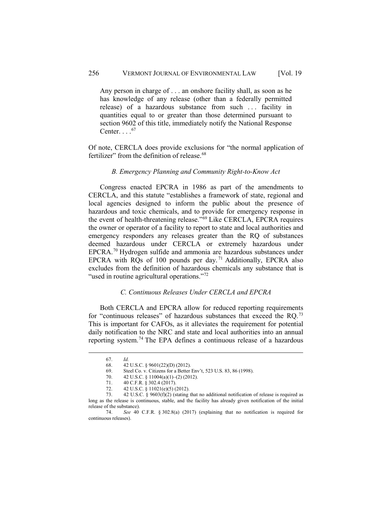Any person in charge of . . . an onshore facility shall, as soon as he has knowledge of any release (other than a federally permitted release) of a hazardous substance from such ... facility in quantities equal to or greater than those determined pursuant to section 9602 of this title, immediately notify the National Response Center.  $. . .$ <sup>[67](#page-11-0)</sup>

Of note, CERCLA does provide exclusions for "the normal application of fertilizer" from the definition of release.<sup>[68](#page-11-1)</sup>

#### *B. Emergency Planning and Community Right-to-Know Act*

Congress enacted EPCRA in 1986 as part of the amendments to CERCLA, and this statute "establishes a framework of state, regional and local agencies designed to inform the public about the presence of hazardous and toxic chemicals, and to provide for emergency response in the event of health-threatening release."<sup>[69](#page-11-2)</sup> Like CERCLA, EPCRA requires the owner or operator of a facility to report to state and local authorities and emergency responders any releases greater than the RQ of substances deemed hazardous under CERCLA or extremely hazardous under EPCRA.[70](#page-11-3) Hydrogen sulfide and ammonia are hazardous substances under EPCRA with RQs of 100 pounds per day. [71](#page-11-4) Additionally, EPCRA also excludes from the definition of hazardous chemicals any substance that is "used in routine agricultural operations."<sup>[72](#page-11-5)</sup>

#### *C. Continuous Releases Under CERCLA and EPCRA*

Both CERCLA and EPCRA allow for reduced reporting requirements for "continuous releases" of hazardous substances that exceed the RQ.[73](#page-11-6) This is important for CAFOs, as it alleviates the requirement for potential daily notification to the NRC and state and local authorities into an annual reporting system.[74](#page-11-7) The EPA defines a continuous release of a hazardous

<sup>67.</sup> *Id.*

<sup>68. 42</sup> U.S.C. § 9601(22)(D) (2012).<br>69. Steel Co. v. Citizens for a Better

Steel Co. v. Citizens for a Better Env't, 523 U.S. 83, 86 (1998).

<sup>70. 42</sup> U.S.C. § 11004(a)(1)–(2) (2012).

<sup>71.</sup> 40 C.F.R. § 302.4 (2017).

<sup>72. 42</sup> U.S.C. § 11021(e)(5) (2012).

<span id="page-11-6"></span><span id="page-11-5"></span><span id="page-11-4"></span><span id="page-11-3"></span><span id="page-11-2"></span><span id="page-11-1"></span><span id="page-11-0"></span><sup>73.</sup> 42 U.S.C. § 9603(f)(2) (stating that no additional notification of release is required as long as the release is continuous, stable, and the facility has already given notification of the initial release of the substance).

<span id="page-11-7"></span><sup>74.</sup> *See* 40 C.F.R. § 302.8(a) (2017) (explaining that no notification is required for continuous releases).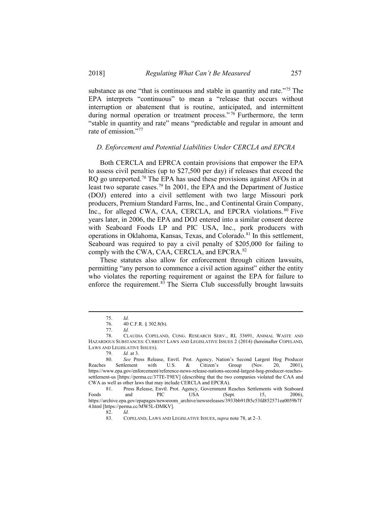substance as one "that is continuous and stable in quantity and rate."<sup>[75](#page-12-0)</sup> The EPA interprets "continuous" to mean a "release that occurs without interruption or abatement that is routine, anticipated, and intermittent during normal operation or treatment process."<sup>[76](#page-12-1)</sup> Furthermore, the term "stable in quantity and rate" means "predictable and regular in amount and rate of emission."<sup>[77](#page-12-2)</sup>

#### *D. Enforcement and Potential Liabilities Under CERCLA and EPCRA*

Both CERCLA and EPRCA contain provisions that empower the EPA to assess civil penalties (up to \$27,500 per day) if releases that exceed the RQ go unreported.<sup>[78](#page-12-3)</sup> The EPA has used these provisions against AFOs in at least two separate cases.[79](#page-12-4) In 2001, the EPA and the Department of Justice (DOJ) entered into a civil settlement with two large Missouri pork producers, Premium Standard Farms, Inc., and Continental Grain Company, Inc., for alleged CWA, CAA, CERCLA, and EPCRA violations. <sup>[80](#page-12-5)</sup> Five years later, in 2006, the EPA and DOJ entered into a similar consent decree with Seaboard Foods LP and PIC USA, Inc., pork producers with operations in Oklahoma, Kansas, Texas, and Colorado.<sup>[81](#page-12-6)</sup> In this settlement, Seaboard was required to pay a civil penalty of \$205,000 for failing to comply with the CWA, CAA, CERCLA, and EPCRA.<sup>[82](#page-12-7)</sup>

These statutes also allow for enforcement through citizen lawsuits, permitting "any person to commence a civil action against" either the entity who violates the reporting requirement or against the EPA for failure to enforce the requirement.<sup>[83](#page-12-8)</sup> The Sierra Club successfully brought lawsuits

<sup>75.</sup> *Id.*

<sup>76.</sup> 40 C.F.R. § 302.8(b).

<span id="page-12-3"></span><span id="page-12-2"></span><span id="page-12-1"></span><span id="page-12-0"></span><sup>77.</sup> *Id.* 78. CLAUDIA COPELAND, CONG. RESEARCH SERV., RL 33691, ANIMAL WASTE AND HAZARDOUS SUBSTANCES: CURRENT LAWS AND LEGISLATIVE ISSUES 2 (2014) (hereinafter COPELAND,

LAWS AND LEGISLATIVE ISSUES).

<span id="page-12-5"></span><span id="page-12-4"></span><sup>79.</sup> *Id.* at 3. 80. *See* Press Release, Envtl. Prot. Agency, Nation's Second Largest Hog Producer Reaches Settlement with U.S. & Citizen's Group (Nov. 20, 2001), U.S. & Citizen's Group https://www.epa.gov/enforcement/reference-news-release-nations-second-largest-hog-producer-reachessettlement-us [https://perma.cc/37TE-T9EV] (describing that the two companies violated the CAA and CWA as well as other laws that may include CERCLA and EPCRA).

<span id="page-12-8"></span><span id="page-12-7"></span><span id="page-12-6"></span><sup>81.</sup> Press Release, Envtl. Prot. Agency, Government Reaches Settlements with Seaboard Foods and PIC USA (Sept. 15, 2006), https://archive.epa.gov/epapages/newsroom\_archive/newsreleases/3933bb91f85c53fd852571ea0059b7f 4.html [https://perma.cc/MW5L-DMKV].

<sup>82.</sup> *Id.*

<sup>83.</sup> COPELAND, LAWS AND LEGISLATIVE ISSUES, *supra* note 78, at 2–3.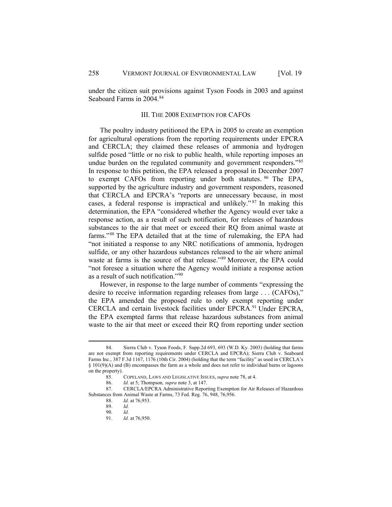under the citizen suit provisions against Tyson Foods in 2003 and against Seaboard Farms in 2004.<sup>[84](#page-13-0)</sup>

#### III. THE 2008 EXEMPTION FOR CAFOS

The poultry industry petitioned the EPA in 2005 to create an exemption for agricultural operations from the reporting requirements under EPCRA and CERCLA; they claimed these releases of ammonia and hydrogen sulfide posed "little or no risk to public health, while reporting imposes an undue burden on the regulated community and government responders."[85](#page-13-1) In response to this petition, the EPA released a proposal in December 2007 to exempt CAFOs from reporting under both statutes. [86](#page-13-2) The EPA, supported by the agriculture industry and government responders, reasoned that CERCLA and EPCRA's "reports are unnecessary because, in most cases, a federal response is impractical and unlikely." [87](#page-13-3) In making this determination, the EPA "considered whether the Agency would ever take a response action, as a result of such notification, for releases of hazardous substances to the air that meet or exceed their RQ from animal waste at farms."[88](#page-13-4) The EPA detailed that at the time of rulemaking, the EPA had "not initiated a response to any NRC notifications of ammonia, hydrogen sulfide, or any other hazardous substances released to the air where animal waste at farms is the source of that release."[89](#page-13-5) Moreover, the EPA could "not foresee a situation where the Agency would initiate a response action as a result of such notification."[90](#page-13-6) 

However, in response to the large number of comments "expressing the desire to receive information regarding releases from large . . . (CAFOs)," the EPA amended the proposed rule to only exempt reporting under CERCLA and certain livestock facilities under EPCRA.<sup>[91](#page-13-7)</sup> Under EPCRA, the EPA exempted farms that release hazardous substances from animal waste to the air that meet or exceed their RQ from reporting under section

<span id="page-13-0"></span><sup>84.</sup> Sierra Club v. Tyson Foods, F. Supp.2d 693, 693 (W.D. Ky. 2003) (holding that farms are not exempt from reporting requirements under CERCLA and EPCRA); Sierra Club v. Seaboard Farms Inc., 387 F.3d 1167, 1176 (10th Cir. 2004) (holding that the term "facility" as used in CERCLA's § 101(9)(A) and (B) encompasses the farm as a whole and does not refer to individual barns or lagoons on the property).

<sup>85.</sup> COPELAND, LAWS AND LEGISLATIVE ISSUES, *supra* note 78, at 4.

<sup>86.</sup> *Id.* at 5; Thompson*, supra* note 3, at 147.

<span id="page-13-7"></span><span id="page-13-6"></span><span id="page-13-5"></span><span id="page-13-4"></span><span id="page-13-3"></span><span id="page-13-2"></span><span id="page-13-1"></span>CERCLA/EPCRA Administrative Reporting Exemption for Air Releases of Hazardous Substances from Animal Waste at Farms, 73 Fed. Reg. 76, 948, 76, 956.<br> *N* at 76, 953.

*Id.* at 76,953.

<sup>89.</sup> *Id.*

<sup>90.</sup> *Id.*

<sup>91.</sup> *Id.* at 76,950.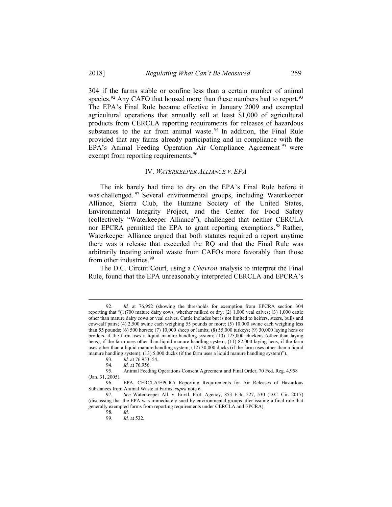304 if the farms stable or confine less than a certain number of animal species.<sup>[92](#page-14-0)</sup> Any CAFO that housed more than these numbers had to report.<sup>[93](#page-14-1)</sup> The EPA's Final Rule became effective in January 2009 and exempted agricultural operations that annually sell at least \$1,000 of agricultural products from CERCLA reporting requirements for releases of hazardous substances to the air from animal waste.<sup>[94](#page-14-2)</sup> In addition, the Final Rule provided that any farms already participating and in compliance with the EPA's Animal Feeding Operation Air Compliance Agreement [95](#page-14-3) were exempt from reporting requirements.<sup>[96](#page-14-4)</sup>

#### IV. *WATERKEEPER ALLIANCE V. EPA*

The ink barely had time to dry on the EPA's Final Rule before it was challenged. <sup>[97](#page-14-5)</sup> Several environmental groups, including Waterkeeper Alliance, Sierra Club, the Humane Society of the United States, Environmental Integrity Project, and the Center for Food Safety (collectively "Waterkeeper Alliance"), challenged that neither CERCLA nor EPCRA permitted the EPA to grant reporting exemptions.<sup>[98](#page-14-6)</sup> Rather, Waterkeeper Alliance argued that both statutes required a report anytime there was a release that exceeded the RQ and that the Final Rule was arbitrarily treating animal waste from CAFOs more favorably than those from other industries.<sup>99</sup>

The D.C. Circuit Court, using a *Chevron* analysis to interpret the Final Rule, found that the EPA unreasonably interpreted CERCLA and EPCRA's

<span id="page-14-0"></span><sup>92.</sup> *Id.* at 76,952 (showing the thresholds for exemption from EPCRA section 304 reporting that "(1)700 mature dairy cows, whether milked or dry; (2) 1,000 veal calves; (3) 1,000 cattle other than mature dairy cows or veal calves. Cattle includes but is not limited to heifers, steers, bulls and cow/calf pairs; (4) 2,500 swine each weighing 55 pounds or more; (5) 10,000 swine each weighing less than 55 pounds; (6) 500 horses; (7) 10,000 sheep or lambs; (8) 55,000 turkeys; (9) 30,000 laying hens or broilers, if the farm uses a liquid manure handling system; (10) 125,000 chickens (other than laying hens), if the farm uses other than liquid manure handling system; (11) 82,000 laying hens, if the farm uses other than a liquid manure handling system; (12) 30,000 ducks (if the farm uses other than a liquid manure handling system); (13) 5,000 ducks (if the farm uses a liquid manure handling system)").

<sup>93.</sup> *Id.* at 76,953–54.

<sup>94.</sup> *Id.* at 76,956.

<span id="page-14-3"></span><span id="page-14-2"></span><span id="page-14-1"></span>Animal Feeding Operations Consent Agreement and Final Order, 70 Fed. Reg. 4,958 (Jan. 31, 2005).

<span id="page-14-4"></span><sup>96.</sup> EPA, CERCLA/EPCRA Reporting Requirements for Air Releases of Hazardous Substances from Animal Waste at Farms, *supra* note 6.

<span id="page-14-7"></span><span id="page-14-6"></span><span id="page-14-5"></span><sup>97.</sup> *See* Waterkeeper All. v. Envtl. Prot. Agency, 853 F.3d 527, 530 (D.C. Cir. 2017) (discussing that the EPA was immediately sued by environmental groups after issuing a final rule that generally exempted farms from reporting requirements under CERCLA and EPCRA).

<sup>98.</sup> *Id.*

<sup>99.</sup> *Id.* at 532.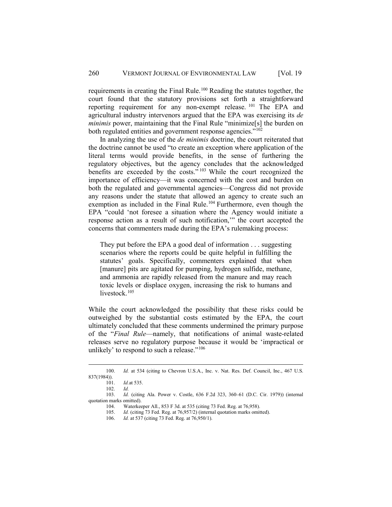requirements in creating the Final Rule.[100](#page-15-0) Reading the statutes together, the court found that the statutory provisions set forth a straightforward reporting requirement for any non-exempt release. [101](#page-15-1) The EPA and agricultural industry intervenors argued that the EPA was exercising its *de minimis* power, maintaining that the Final Rule "minimize<sup>[s]</sup> the burden on both regulated entities and government response agencies."<sup>[102](#page-15-2)</sup>

In analyzing the use of the *de minimis* doctrine, the court reiterated that the doctrine cannot be used "to create an exception where application of the literal terms would provide benefits, in the sense of furthering the regulatory objectives, but the agency concludes that the acknowledged benefits are exceeded by the costs." [103](#page-15-3) While the court recognized the importance of efficiency—it was concerned with the cost and burden on both the regulated and governmental agencies—Congress did not provide any reasons under the statute that allowed an agency to create such an exemption as included in the Final Rule.<sup>104</sup> Furthermore, even though the EPA "could 'not foresee a situation where the Agency would initiate a response action as a result of such notification,'" the court accepted the concerns that commenters made during the EPA's rulemaking process:

They put before the EPA a good deal of information . . . suggesting scenarios where the reports could be quite helpful in fulfilling the statutes' goals. Specifically, commenters explained that when [manure] pits are agitated for pumping, hydrogen sulfide, methane, and ammonia are rapidly released from the manure and may reach toxic levels or displace oxygen, increasing the risk to humans and livestock.<sup>105</sup>

While the court acknowledged the possibility that these risks could be outweighed by the substantial costs estimated by the EPA, the court ultimately concluded that these comments undermined the primary purpose of the "*Final Rule*—namely, that notifications of animal waste-related releases serve no regulatory purpose because it would be 'impractical or unlikely' to respond to such a release."<sup>[106](#page-15-6)</sup>

<span id="page-15-0"></span><sup>100.</sup> *Id.* at 534 (citing to Chevron U.S.A., Inc. v. Nat. Res. Def. Council, Inc., 467 U.S. 837(1984)). 101. *Id.*at 535.

<sup>102.</sup> *Id.*

<span id="page-15-6"></span><span id="page-15-5"></span><span id="page-15-4"></span><span id="page-15-3"></span><span id="page-15-2"></span><span id="page-15-1"></span><sup>103.</sup> *Id.* (citing Ala. Power v. Costle, 636 F.2d 323, 360–61 (D.C. Cir. 1979)) (internal quotation marks omitted).

<sup>104.</sup> Waterkeeper All., 853 F 3d. at 535 (citing 73 Fed. Reg. at 76,958).

<sup>105.</sup> *Id.* (citing 73 Fed. Reg. at 76,957/2) (internal quotation marks omitted).

<sup>106.</sup> *Id.* at 537 (citing 73 Fed. Reg. at 76,950/1).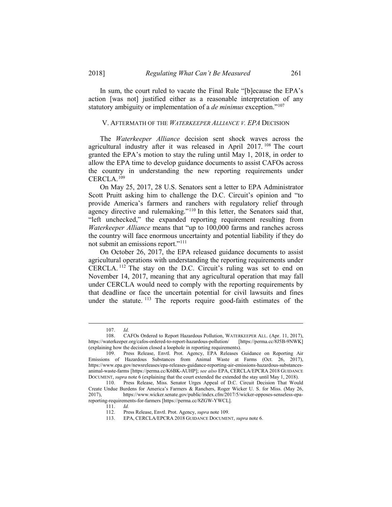In sum, the court ruled to vacate the Final Rule "[b]ecause the EPA's action [was not] justified either as a reasonable interpretation of any statutory ambiguity or implementation of a *de minimus* exception."[107](#page-16-0)

#### V. AFTERMATH OF THE *WATERKEEPER ALLIANCE V. EPA* DECISION

The *Waterkeeper Alliance* decision sent shock waves across the agricultural industry after it was released in April 2017.<sup>[108](#page-16-1)</sup> The court granted the EPA's motion to stay the ruling until May 1, 2018, in order to allow the EPA time to develop guidance documents to assist CAFOs across the country in understanding the new reporting requirements under CERCLA.[109](#page-16-2)

On May 25, 2017, 28 U.S. Senators sent a letter to EPA Administrator Scott Pruitt asking him to challenge the D.C. Circuit's opinion and "to provide America's farmers and ranchers with regulatory relief through agency directive and rulemaking."[110](#page-16-3) In this letter, the Senators said that, "left unchecked," the expanded reporting requirement resulting from *Waterkeeper Alliance* means that "up to 100,000 farms and ranches across the country will face enormous uncertainty and potential liability if they do not submit an emissions report."[111](#page-16-4) 

On October 26, 2017, the EPA released guidance documents to assist agricultural operations with understanding the reporting requirements under CERCLA. [112](#page-16-5) The stay on the D.C. Circuit's ruling was set to end on November 14, 2017, meaning that any agricultural operation that may fall under CERCLA would need to comply with the reporting requirements by that deadline or face the uncertain potential for civil lawsuits and fines under the statute. <sup>[113](#page-16-6)</sup> The reports require good-faith estimates of the

111. *Id.*

<sup>107.</sup> *Id.* 

<span id="page-16-1"></span><span id="page-16-0"></span><sup>108.</sup> CAFOs Ordered to Report Hazardous Pollution, WATERKEEPER ALL. (Apr. 11, 2017), https://waterkeeper.org/cafos-ordered-to-report-hazardous-pollution/ (explaining how the decision closed a loophole in reporting requirements).

<span id="page-16-2"></span><sup>109.</sup> Press Release, Envtl. Prot. Agency, EPA Releases Guidance on Reporting Air Emissions of Hazardous Substances from Animal Waste at Farms (Oct. 26, 2017), https://www.epa.gov/newsreleases/epa-releases-guidance-reporting-air-emissions-hazardous-substancesanimal-waste-farms [https://perma.cc/K6BK-AUHP]; *see also* EPA, CERCLA/EPCRA 2018 GUIDANCE DOCUMENT, *supra* note 6 (explaining that the court extended the extended the stay until May 1, 2018).

<span id="page-16-6"></span><span id="page-16-5"></span><span id="page-16-4"></span><span id="page-16-3"></span><sup>110.</sup> Press Release, Miss. Senator Urges Appeal of D.C. Circuit Decision That Would Create Undue Burdens for America's Farmers & Ranchers, Roger Wicker U. S. for Miss. (May 26, 2017), https://www.wicker.senate.gov/public/index.cfm/2017/5/wicker-opposes-senseless-epareporting-requirements-for-farmers [https://perma.cc/8ZGW-YWCL].

Press Release, Envtl. Prot. Agency, *supra* note 109.

<sup>113.</sup> EPA, CERCLA/EPCRA 2018 GUIDANCE DOCUMENT, *supra* note 6.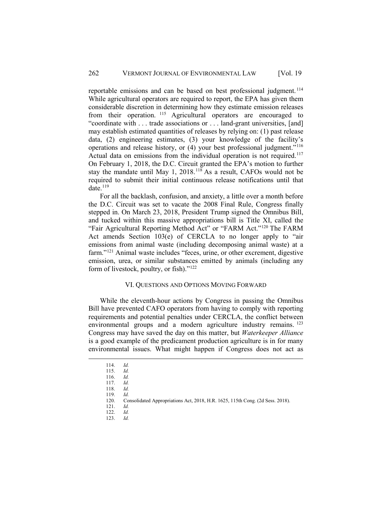reportable emissions and can be based on best professional judgment. [114](#page-17-0) While agricultural operators are required to report, the EPA has given them considerable discretion in determining how they estimate emission releases from their operation. [115](#page-17-1) Agricultural operators are encouraged to "coordinate with . . . trade associations or . . . land-grant universities, [and] may establish estimated quantities of releases by relying on: (1) past release data, (2) engineering estimates, (3) your knowledge of the facility's operations and release history, or (4) your best professional judgment."[116](#page-17-2) Actual data on emissions from the individual operation is not required.<sup>[117](#page-17-3)</sup> On February 1, 2018, the D.C. Circuit granted the EPA's motion to further stay the mandate until May 1, 2018.[118](#page-17-4) As a result, CAFOs would not be required to submit their initial continuous release notifications until that date. $119$ 

For all the backlash, confusion, and anxiety, a little over a month before the D.C. Circuit was set to vacate the 2008 Final Rule, Congress finally stepped in. On March 23, 2018, President Trump signed the Omnibus Bill, and tucked within this massive appropriations bill is Title XI, called the "Fair Agricultural Reporting Method Act" or "FARM Act."<sup>120</sup> The FARM Act amends Section 103(e) of CERCLA to no longer apply to "air emissions from animal waste (including decomposing animal waste) at a farm."[121](#page-17-7) Animal waste includes "feces, urine, or other excrement, digestive emission, urea, or similar substances emitted by animals (including any form of livestock, poultry, or fish)."[122](#page-17-8)

# VI. QUESTIONS AND OPTIONS MOVING FORWARD

While the eleventh-hour actions by Congress in passing the Omnibus Bill have prevented CAFO operators from having to comply with reporting requirements and potential penalties under CERCLA, the conflict between environmental groups and a modern agriculture industry remains. <sup>[123](#page-17-9)</sup> Congress may have saved the day on this matter, but *Waterkeeper Alliance* is a good example of the predicament production agriculture is in for many environmental issues. What might happen if Congress does not act as

<sup>114.</sup> *Id.*

<span id="page-17-4"></span><span id="page-17-3"></span><span id="page-17-2"></span><span id="page-17-1"></span><span id="page-17-0"></span><sup>115.</sup> *Id.*

<sup>116.</sup> *Id.* 117. *Id.*

<sup>118.</sup> *Id.*

<sup>119.</sup> *Id.* Consolidated Appropriations Act, 2018, H.R. 1625, 115th Cong. (2d Sess. 2018).

<span id="page-17-9"></span><span id="page-17-8"></span><span id="page-17-7"></span><span id="page-17-6"></span><span id="page-17-5"></span><sup>121.</sup> *Id.*

<sup>122.</sup> *Id.* 123. *Id.*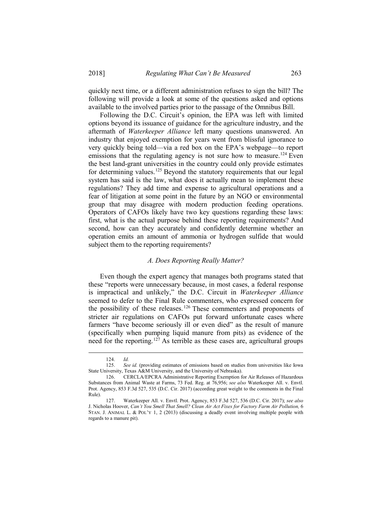quickly next time, or a different administration refuses to sign the bill? The following will provide a look at some of the questions asked and options available to the involved parties prior to the passage of the Omnibus Bill.

Following the D.C. Circuit's opinion, the EPA was left with limited options beyond its issuance of guidance for the agriculture industry, and the aftermath of *Waterkeeper Alliance* left many questions unanswered. An industry that enjoyed exemption for years went from blissful ignorance to very quickly being told—via a red box on the EPA's webpage—to report emissions that the regulating agency is not sure how to measure.<sup>[124](#page-18-0)</sup> Even the best land-grant universities in the country could only provide estimates for determining values.<sup>[125](#page-18-1)</sup> Beyond the statutory requirements that our legal system has said is the law, what does it actually mean to implement these regulations? They add time and expense to agricultural operations and a fear of litigation at some point in the future by an NGO or environmental group that may disagree with modern production feeding operations. Operators of CAFOs likely have two key questions regarding these laws: first, what is the actual purpose behind these reporting requirements? And second, how can they accurately and confidently determine whether an operation emits an amount of ammonia or hydrogen sulfide that would subject them to the reporting requirements?

#### *A. Does Reporting Really Matter?*

Even though the expert agency that manages both programs stated that these "reports were unnecessary because, in most cases, a federal response is impractical and unlikely," the D.C. Circuit in *Waterkeeper Alliance* seemed to defer to the Final Rule commenters, who expressed concern for the possibility of these releases.[126](#page-18-2) These commenters and proponents of stricter air regulations on CAFOs put forward unfortunate cases where farmers "have become seriously ill or even died" as the result of manure (specifically when pumping liquid manure from pits) as evidence of the need for the reporting.[127](#page-18-3) As terrible as these cases are, agricultural groups

<sup>124.</sup> *Id.*

<span id="page-18-1"></span><span id="page-18-0"></span>See *id.* (providing estimates of emissions based on studies from universities like Iowa State University, Texas A&M University, and the University of Nebraska).

<span id="page-18-2"></span><sup>126.</sup> CERCLA/EPCRA Administrative Reporting Exemption for Air Releases of Hazardous Substances from Animal Waste at Farms, 73 Fed. Reg. at 76,956; *see also* Waterkeeper All. v. Envtl. Prot. Agency, 853 F.3d 527, 535 (D.C. Cir. 2017) (according great weight to the comments in the Final Rule).

<span id="page-18-3"></span><sup>127.</sup> Waterkeeper All. v. Envtl. Prot. Agency, 853 F.3d 527, 536 (D.C. Cir. 2017); *see also* J. Nicholas Hoover, *Can't You Smell That Smell? Clean Air Act Fixes for Factory Farm Air Pollution,* 6 STAN. J. ANIMAL L. & POL'Y 1, 2 (2013) (discussing a deadly event involving multiple people with regards to a manure pit).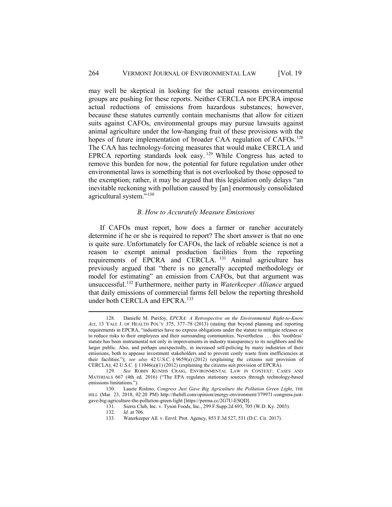may well be skeptical in looking for the actual reasons environmental groups are pushing for these reports. Neither CERCLA nor EPCRA impose actual reductions of emissions from hazardous substances; however, because these statutes currently contain mechanisms that allow for citizen suits against CAFOs, environmental groups may pursue lawsuits against animal agriculture under the low-hanging fruit of these provisions with the hopes of future implementation of broader CAA regulation of CAFOs.<sup>[128](#page-19-0)</sup> The CAA has technology-forcing measures that would make CERCLA and EPRCA reporting standards look easy.  $129$  While Congress has acted to remove this burden for now, the potential for future regulation under other environmental laws is something that is not overlooked by those opposed to the exemption; rather, it may be argued that this legislation only delays "an inevitable reckoning with pollution caused by [an] enormously consolidated agricultural system."<sup>[130](#page-19-2)</sup>

#### *B. How to Accurately Measure Emissions*

If CAFOs must report, how does a farmer or rancher accurately determine if he or she is required to report? The short answer is that no one is quite sure. Unfortunately for CAFOs, the lack of reliable science is not a reason to exempt animal production facilities from the reporting requirements of EPCRA and CERCLA. [131](#page-19-3) Animal agriculture has previously argued that "there is no generally accepted methodology or model for estimating" an emission from CAFOs, but that argument was unsuccessful.[132](#page-19-4) Furthermore, neither party in *Waterkeeper Alliance* argued that daily emissions of commercial farms fell below the reporting threshold under both CERCLA and EPCRA.<sup>[133](#page-19-5)</sup>

<span id="page-19-0"></span><sup>128.</sup> Danielle M. Purifoy, *EPCRA: A Retrospective on the Environmental Right-to-Know Act*, 13 YALE J. OF HEALTH POL'Y 375, 377–78 (2013) (stating that beyond planning and reporting requirements in EPCRA, "industries have no express obligations under the statute to mitigate releases or to reduce risks to their employees and their surrounding communities. Nevertheless . . . this 'toothless' statute has been instrumental not only in improvements in industry transparency to its neighbors and the larger public. Also, and perhaps unexpectedly, in increased self-policing by many industries of their emissions, both to appease investment stakeholders and to prevent costly waste from inefficiencies at their facilities."); *see also* 42 U.S.C. § 9659(a) (2012) (explaining the citizens suit provision of CERCLA); 42 U.S.C.  $\S$  11046(a)(1) (2012) (explaining the citizens suit provision of EPCRA).

<span id="page-19-1"></span><sup>129.</sup> *See* ROBIN KUNDIS CRAIG, ENVIRONMENTAL LAW IN CONTEXT: CASES AND MATERIALS 667 (4th ed. 2016) ("The EPA regulates stationary sources through technology-based emissions limitations.").

<span id="page-19-5"></span><span id="page-19-4"></span><span id="page-19-3"></span><span id="page-19-2"></span><sup>130.</sup> Laurie Ristino, *Congress Just Gave Big Agriculture the Pollution Green Light*, THE HILL (Mar. 23, 2018, 02:20 PM) http://thehill.com/opinion/energy-environment/379971-congress-justgave-big-agriculture-the-pollution-green-light [https://perma.cc/2G7U-ESQD].

Sierra Club, Inc. v. Tyson Foods, Inc., 299 F.Supp.2d 693, 705 (W.D. Ky. 2003). 132. *Id.* at 706.

<sup>133.</sup> Waterkeeper All. v. Envtl. Prot. Agency, 853 F.3d 527, 531 (D.C. Cir. 2017).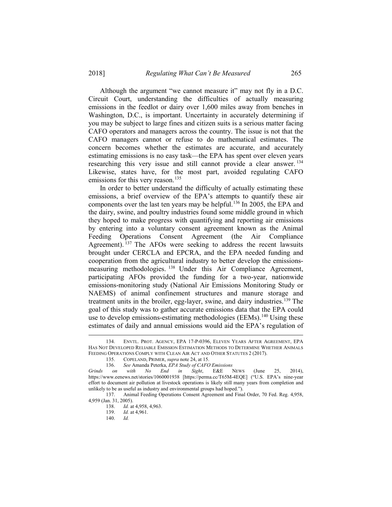Although the argument "we cannot measure it" may not fly in a D.C. Circuit Court, understanding the difficulties of actually measuring emissions in the feedlot or dairy over 1,600 miles away from benches in Washington, D.C., is important. Uncertainty in accurately determining if you may be subject to large fines and citizen suits is a serious matter facing CAFO operators and managers across the country. The issue is not that the CAFO managers cannot or refuse to do mathematical estimates. The concern becomes whether the estimates are accurate, and accurately estimating emissions is no easy task—the EPA has spent over eleven years researching this very issue and still cannot provide a clear answer.<sup>[134](#page-20-0)</sup> Likewise, states have, for the most part, avoided regulating CAFO emissions for this very reason.<sup>[135](#page-20-1)</sup>

In order to better understand the difficulty of actually estimating these emissions, a brief overview of the EPA's attempts to quantify these air components over the last ten years may be helpful[.136](#page-20-2) In 2005, the EPA and the dairy, swine, and poultry industries found some middle ground in which they hoped to make progress with quantifying and reporting air emissions by entering into a voluntary consent agreement known as the Animal Feeding Operations Consent Agreement (the Air Compliance Agreement). <sup>[137](#page-20-3)</sup> The AFOs were seeking to address the recent lawsuits brought under CERCLA and EPCRA, and the EPA needed funding and cooperation from the agricultural industry to better develop the emissionsmeasuring methodologies. [138](#page-20-4) Under this Air Compliance Agreement, participating AFOs provided the funding for a two-year, nationwide emissions-monitoring study (National Air Emissions Monitoring Study or NAEMS) of animal confinement structures and manure storage and treatment units in the broiler, egg-layer, swine, and dairy industries[.139](#page-20-5) The goal of this study was to gather accurate emissions data that the EPA could use to develop emissions-estimating methodologies (EEMs).<sup>[140](#page-20-6)</sup> Using these estimates of daily and annual emissions would aid the EPA's regulation of

<span id="page-20-0"></span><sup>134.</sup> ENVTL. PROT. AGENCY, EPA 17-P-0396, ELEVEN YEARS AFTER AGREEMENT, EPA HAS NOT DEVELOPED RELIABLE EMISSION ESTIMATION METHODS TO DETERMINE WHETHER ANIMALS FEEDING OPERATIONS COMPLY WITH CLEAN AIR ACT AND OTHER STATUTES 2 (2017).

<sup>135.</sup> COPELAND, PRIMER, *supra* note 24, at 15.

<sup>136.</sup> *See* Amanda Peterka, *EPA Study of CAFO Emissions* 

<span id="page-20-2"></span><span id="page-20-1"></span>*Grinds on with No End in Sight*, E&E NEWS (June 25, 2014), https://www.eenews.net/stories/1060001938 [https://perma.cc/T65M-4EQE] ("U.S. EPA's nine-year effort to document air pollution at livestock operations is likely still many years from completion and unlikely to be as useful as industry and environmental groups had hoped.").

<span id="page-20-6"></span><span id="page-20-5"></span><span id="page-20-4"></span><span id="page-20-3"></span><sup>137.</sup> Animal Feeding Operations Consent Agreement and Final Order, 70 Fed. Reg. 4,958, 4,959 (Jan. 31, 2005).

<sup>138.</sup> *Id.* at 4,958, 4,963.<br>139. *Id.* at 4,961.

*Id.* at 4,961.

<sup>140.</sup> *Id.*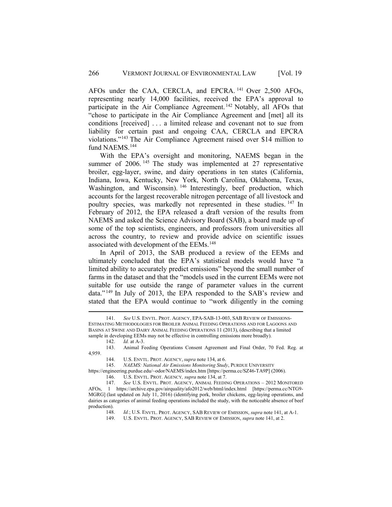AFOs under the CAA, CERCLA, and EPCRA. [141](#page-21-0) Over 2,500 AFOs, representing nearly 14,000 facilities, received the EPA's approval to participate in the Air Compliance Agreement. [142](#page-21-1) Notably, all AFOs that "chose to participate in the Air Compliance Agreement and [met] all its conditions [received] . . . a limited release and covenant not to sue from liability for certain past and ongoing CAA, CERCLA and EPCRA violations."[143](#page-21-2) The Air Compliance Agreement raised over \$14 million to fund NAEMS.<sup>[144](#page-21-3)</sup>

With the EPA's oversight and monitoring, NAEMS began in the summer of 2006.<sup>[145](#page-21-4)</sup> The study was implemented at 27 representative broiler, egg-layer, swine, and dairy operations in ten states (California, Indiana, Iowa, Kentucky, New York, North Carolina, Oklahoma, Texas, Washington, and Wisconsin). <sup>[146](#page-21-5)</sup> Interestingly, beef production, which accounts for the largest recoverable nitrogen percentage of all livestock and poultry species, was markedly not represented in these studies. [147](#page-21-6) In February of 2012, the EPA released a draft version of the results from NAEMS and asked the Science Advisory Board (SAB), a board made up of some of the top scientists, engineers, and professors from universities all across the country, to review and provide advice on scientific issues associated with development of the EEMs.<sup>[148](#page-21-7)</sup>

In April of 2013, the SAB produced a review of the EEMs and ultimately concluded that the EPA's statistical models would have "a limited ability to accurately predict emissions" beyond the small number of farms in the dataset and that the "models used in the current EEMs were not suitable for use outside the range of parameter values in the current data." [149](#page-21-8) In July of 2013, the EPA responded to the SAB's review and stated that the EPA would continue to "work diligently in the coming

<span id="page-21-0"></span><sup>141.</sup> *See* U.S*.* ENVTL. PROT. AGENCY, EPA-SAB-13-003, SAB REVIEW OF EMISSIONS-ESTIMATING METHODOLOGIES FOR BROILER ANIMAL FEEDING OPERATIONS AND FOR LAGOONS AND BASINS AT SWINE AND DAIRY ANIMAL FEEDING OPERATIONS 11 (2013), (describing that a limited sample in developing EEMs may not be effective in controlling emissions more broadly).  $142.$  Id. at A-3.

*Id.* at A-3.

<span id="page-21-3"></span><span id="page-21-2"></span><span id="page-21-1"></span><sup>143.</sup> Animal Feeding Operations Consent Agreement and Final Order, 70 Fed. Reg. at 4,959.

<sup>144.</sup> U.S. ENVTL. PROT. AGENCY, *supra* note 134, at 6.

<sup>145.</sup> *NAEMS: National Air Emissions Monitoring Study*, PURDUE UNIVERSITY

<span id="page-21-4"></span>https://engineering.purdue.edu/~odor/NAEMS/index.htm [https://perma.cc/SZ46-TA9P] (2006).

<sup>146.</sup> U.S. ENVTL. PROT. AGENCY*, supra* note 134, at 7.

<span id="page-21-8"></span><span id="page-21-7"></span><span id="page-21-6"></span><span id="page-21-5"></span><sup>147.</sup> *See* U.S. ENVTL. PROT. AGENCY, ANIMAL FEEDING OPERATIONS – 2012 MONITORED AFOs, 1 https://archive.epa.gov/airquality/afo2012/web/html/index.html [https://perma.cc/NTG9- MGRG] (last updated on July 11, 2016) (identifying pork, broiler chickens, egg-laying operations, and dairies as categories of animal feeding operations included the study, with the noticeable absence of beef production).

<sup>148.</sup> *Id.*; U.S. ENVTL. PROT. AGENCY, SAB REVIEW OF EMISSION, *supra* note 141, at A-1.

<sup>149.</sup> U.S. ENVTL. PROT. AGENCY, SAB REVIEW OF EMISSION, *supra* note 141, at 2.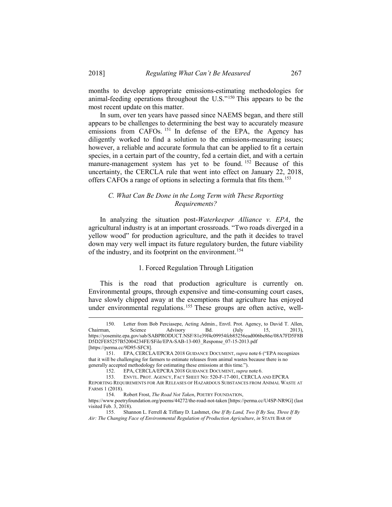months to develop appropriate emissions-estimating methodologies for animal-feeding operations throughout the U.S."[150](#page-22-0) This appears to be the most recent update on this matter.

In sum, over ten years have passed since NAEMS began, and there still appears to be challenges to determining the best way to accurately measure emissions from CAFOs.<sup>[151](#page-22-1)</sup> In defense of the EPA, the Agency has diligently worked to find a solution to the emissions-measuring issues; however, a reliable and accurate formula that can be applied to fit a certain species, in a certain part of the country, fed a certain diet, and with a certain manure-management system has yet to be found. <sup>[152](#page-22-2)</sup> Because of this uncertainty, the CERCLA rule that went into effect on January 22, 2018, offers CAFOs a range of options in selecting a formula that fits them.[153](#page-22-3)

# *C. What Can Be Done in the Long Term with These Reporting Requirements?*

In analyzing the situation post-*Waterkeeper Alliance v. EPA*, the agricultural industry is at an important crossroads. "Two roads diverged in a yellow wood" for production agriculture, and the path it decides to travel down may very well impact its future regulatory burden, the future viability of the industry, and its footprint on the environment.<sup>[154](#page-22-4)</sup>

### 1. Forced Regulation Through Litigation

This is the road that production agriculture is currently on. Environmental groups, through expensive and time-consuming court cases, have slowly chipped away at the exemptions that agriculture has enjoyed under environmental regulations.<sup>[155](#page-22-5)</sup> These groups are often active, well-

<span id="page-22-0"></span><sup>150.</sup> Letter from Bob Perciasepe, Acting Admin., Envtl. Prot. Agency, to David T. Allen, Chairman, Science Advisory Bd. (July 15, 2013), https://yosemite.epa.gov/sab/SABPRODUCT.NSF/81e39f4c09954fcb85256ead006be86e/08A7FD5F8B D5D2FE85257B52004234FE/\$File/EPA-SAB-13-003\_Response\_07-15-2013.pdf [https://perma.cc/9D95-SFC8].

<span id="page-22-1"></span><sup>151.</sup> EPA, CERCLA/EPCRA 2018 GUIDANCE DOCUMENT, *supra* note 6 ("EPA recognizes that it will be challenging for farmers to estimate releases from animal wastes because there is no generally accepted methodology for estimating these emissions at this time.").

<sup>152.</sup> EPA, CERCLA/EPCRA 2018 GUIDANCE DOCUMENT, *supra* note 6.

<sup>153.</sup> ENVTL. PROT. AGENCY, FACT SHEET NO: 520-F-17-001, CERCLA AND EPCRA

<span id="page-22-3"></span><span id="page-22-2"></span>REPORTING REQUIREMENTS FOR AIR RELEASES OF HAZARDOUS SUBSTANCES FROM ANIMAL WASTE AT FARMS 1 (2018).

<sup>154.</sup> Robert Frost, *The Road Not Taken*, POETRY FOUNDATION,

<span id="page-22-4"></span>https://www.poetryfoundation.org/poems/44272/the-road-not-taken [https://perma.cc/U4SP-NR9G] (last visited Feb. 3, 2018).

<span id="page-22-5"></span><sup>155.</sup> Shannon L. Ferrell & Tiffany D. Lashmet, *One If By Land, Two If By Sea, Three If By Air: The Changing Face of Environmental Regulation of Production Agriculture*, *in* STATE BAR OF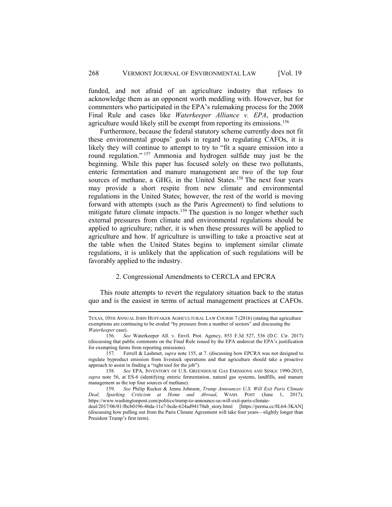funded, and not afraid of an agriculture industry that refuses to acknowledge them as an opponent worth meddling with. However, but for commenters who participated in the EPA's rulemaking process for the 2008 Final Rule and cases like *Waterkeeper Alliance v. EPA*, production agriculture would likely still be exempt from reporting its emissions.<sup>156</sup>

Furthermore, because the federal statutory scheme currently does not fit these environmental groups' goals in regard to regulating CAFOs, it is likely they will continue to attempt to try to "fit a square emission into a round regulation." [157](#page-23-1) Ammonia and hydrogen sulfide may just be the beginning. While this paper has focused solely on these two pollutants, enteric fermentation and manure management are two of the top four sources of methane, a GHG, in the United States.<sup>[158](#page-23-2)</sup> The next four years may provide a short respite from new climate and environmental regulations in the United States; however, the rest of the world is moving forward with attempts (such as the Paris Agreement) to find solutions to mitigate future climate impacts.<sup>[159](#page-23-3)</sup> The question is no longer whether such external pressures from climate and environmental regulations should be applied to agriculture; rather, it is when these pressures will be applied to agriculture and how. If agriculture is unwilling to take a proactive seat at the table when the United States begins to implement similar climate regulations, it is unlikely that the application of such regulations will be favorably applied to the industry.

### 2. Congressional Amendments to CERCLA and EPCRA

This route attempts to revert the regulatory situation back to the status quo and is the easiest in terms of actual management practices at CAFOs.

TEXAS, 10TH ANNUAL JOHN HUFFAKER AGRICULTURAL LAW COURSE 7 (2016) (stating that agriculture exemptions are continuing to be eroded "by pressure from a number of sectors" and discussing the *Waterkeeper* case).

<span id="page-23-0"></span><sup>156.</sup> *See* Waterkeeper All. v. Envtl. Prot. Agency, 853 F.3d 527, 536 (D.C. Cir. 2017) (discussing that public comments on the Final Rule issued by the EPA undercut the EPA's justification for exempting farms from reporting emissions).

<span id="page-23-1"></span><sup>157.</sup> Ferrell & Lashmet, *supra* note 155, at 7. (discussing how EPCRA was not designed to regulate byproduct emission from livestock operations and that agriculture should take a proactive approach to assist in finding a "right tool for the job").

<span id="page-23-2"></span><sup>158.</sup> *See* EPA, INVENTORY OF U.S. GREENHOUSE GAS EMISSIONS AND SINKS: 1990-2015, *supra* note 56, at ES-6 (identifying enteric fermentation, natural gas systems, landfills, and manure management as the top four sources of methane).

<span id="page-23-3"></span><sup>159.</sup> *See* Philip Rucker & Jenna Johnson, *Trump Announces U.S. Will Exit Paris Climate Deal, Sparking Criticism at Home and Abroad*, WASH. POST (June 1, 2017), https://www.washingtonpost.com/politics/trump-to-announce-us-will-exit-paris-climate-

deal/2017/06/01/fbcb0196-46da-11e7-bcde-624ad94170ab\_story.html [https://perma.cc/8L64-3KAN] (discussing how pulling out from the Paris Climate Agreement will take four years—slightly longer than President Trump's first term).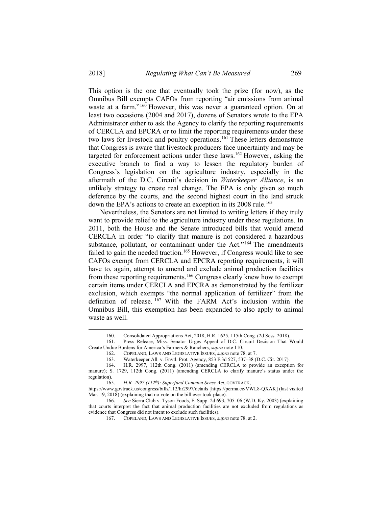This option is the one that eventually took the prize (for now), as the Omnibus Bill exempts CAFOs from reporting "air emissions from animal waste at a farm."[160](#page-24-0) However, this was never a guaranteed option. On at least two occasions (2004 and 2017), dozens of Senators wrote to the EPA Administrator either to ask the Agency to clarify the reporting requirements of CERCLA and EPCRA or to limit the reporting requirements under these two laws for livestock and poultry operations.<sup>[161](#page-24-1)</sup> These letters demonstrate that Congress is aware that livestock producers face uncertainty and may be targeted for enforcement actions under these laws[.162](#page-24-2) However, asking the executive branch to find a way to lessen the regulatory burden of Congress's legislation on the agriculture industry, especially in the aftermath of the D.C. Circuit's decision in *Waterkeeper Alliance*, is an unlikely strategy to create real change. The EPA is only given so much deference by the courts, and the second highest court in the land struck down the EPA's actions to create an exception in its 2008 rule. [163](#page-24-3)

Nevertheless, the Senators are not limited to writing letters if they truly want to provide relief to the agriculture industry under these regulations. In 2011, both the House and the Senate introduced bills that would amend CERCLA in order "to clarify that manure is not considered a hazardous substance, pollutant, or contaminant under the Act."<sup>[164](#page-24-4)</sup> The amendments failed to gain the needed traction.<sup>[165](#page-24-5)</sup> However, if Congress would like to see CAFOs exempt from CERCLA and EPCRA reporting requirements, it will have to, again, attempt to amend and exclude animal production facilities from these reporting requirements.<sup>[166](#page-24-6)</sup> Congress clearly knew how to exempt certain items under CERCLA and EPCRA as demonstrated by the fertilizer exclusion, which exempts "the normal application of fertilizer" from the definition of release.  $^{167}$  $^{167}$  $^{167}$  With the FARM Act's inclusion within the Omnibus Bill, this exemption has been expanded to also apply to animal waste as well.

<sup>160.</sup> Consolidated Appropriations Act, 2018, H.R. 1625, 115th Cong. (2d Sess. 2018).

<span id="page-24-2"></span><span id="page-24-1"></span><span id="page-24-0"></span>Press Release, Miss. Senator Urges Appeal of D.C. Circuit Decision That Would Create Undue Burdens for America's Farmers & Ranchers, *supra* note 110.

<sup>162.</sup> COPELAND, LAWS AND LEGISLATIVE ISSUES, *supra* note 78, at 7.

<sup>163.</sup> Waterkeeper All. v. Envtl. Prot. Agency, 853 F.3d 527, 537–38 (D.C. Cir. 2017).

<span id="page-24-4"></span><span id="page-24-3"></span>H.R. 2997, 112th Cong. (2011) (amending CERCLA to provide an exception for manure); S. 1729, 112th Cong. (2011) (amending CERCLA to clarify manure's status under the regulation).

<sup>165.</sup> *H.R. 2997 (112th): Superfund Common Sense Act*, GOVTRACK,

<span id="page-24-5"></span>https://www.govtrack.us/congress/bills/112/hr2997/details [https://perma.cc/VWL8-QXAK] (last visited Mar. 19, 2018) (explaining that no vote on the bill ever took place).

<span id="page-24-7"></span><span id="page-24-6"></span><sup>166.</sup> *See* Sierra Club v. Tyson Foods, F. Supp. 2d 693, 705–06 (W.D. Ky. 2003) (explaining that courts interpret the fact that animal production facilities are not excluded from regulations as evidence that Congress did not intent to exclude such facilities).

<sup>167.</sup> COPELAND, LAWS AND LEGISLATIVE ISSUES, *supra* note 78, at 2.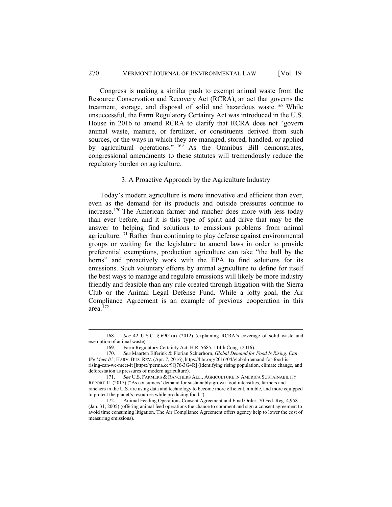Congress is making a similar push to exempt animal waste from the Resource Conservation and Recovery Act (RCRA), an act that governs the treatment, storage, and disposal of solid and hazardous waste. [168](#page-25-0) While unsuccessful, the Farm Regulatory Certainty Act was introduced in the U.S. House in 2016 to amend RCRA to clarify that RCRA does not "govern animal waste, manure, or fertilizer, or constituents derived from such sources, or the ways in which they are managed, stored, handled, or applied by agricultural operations." [169](#page-25-1) As the Omnibus Bill demonstrates, congressional amendments to these statutes will tremendously reduce the regulatory burden on agriculture.

# 3. A Proactive Approach by the Agriculture Industry

Today's modern agriculture is more innovative and efficient than ever, even as the demand for its products and outside pressures continue to increase.[170](#page-25-2) The American farmer and rancher does more with less today than ever before, and it is this type of spirit and drive that may be the answer to helping find solutions to emissions problems from animal agriculture.[171](#page-25-3) Rather than continuing to play defense against environmental groups or waiting for the legislature to amend laws in order to provide preferential exemptions, production agriculture can take "the bull by the horns" and proactively work with the EPA to find solutions for its emissions. Such voluntary efforts by animal agriculture to define for itself the best ways to manage and regulate emissions will likely be more industry friendly and feasible than any rule created through litigation with the Sierra Club or the Animal Legal Defense Fund. While a lofty goal, the Air Compliance Agreement is an example of previous cooperation in this area. $172$ 

<span id="page-25-0"></span><sup>168.</sup> *See* 42 U.S.C. § 6901(a) (2012) (explaining RCRA's coverage of solid waste and exemption of animal waste).

<sup>169.</sup> Farm Regulatory Certainty Act, H.R. 5685, 114th Cong. (2016).

<span id="page-25-2"></span><span id="page-25-1"></span><sup>170.</sup> *See* Maarten Elferink & Florian Schierhorn, *Global Demand for Food Is Rising. Can We Meet It?*, HARV. BUS. REV. (Apr. 7, 2016), https://hbr.org/2016/04/global-demand-for-food-isrising-can-we-meet-it [https://perma.cc/9Q76-3G4R] (identifying rising population, climate change, and deforestation as pressures of modern agriculture).

<span id="page-25-3"></span><sup>171.</sup> *See* U.S. FARMERS & RANCHERS ALL., AGRICULTURE IN AMERICA SUSTAINABILITY REPORT 11 (2017) ("As consumers' demand for sustainably-grown food intensifies, farmers and ranchers in the U.S. are using data and technology to become more efficient, nimble, and more equipped to protect the planet's resources while producing food.").

<span id="page-25-4"></span><sup>172.</sup> Animal Feeding Operations Consent Agreement and Final Order, 70 Fed. Reg. 4,958 (Jan. 31, 2005) (offering animal feed operations the chance to comment and sign a consent agreement to avoid time consuming litigation. The Air Compliance Agreement offers agency help to lower the cost of measuring emissions).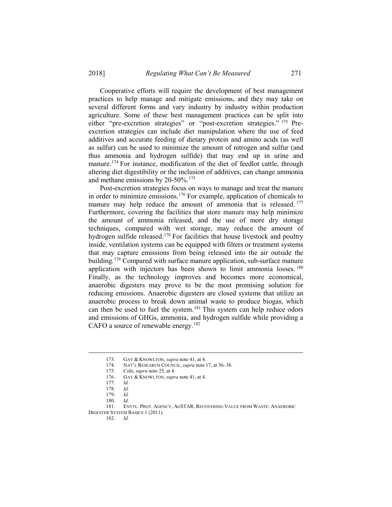Cooperative efforts will require the development of best management practices to help manage and mitigate emissions, and they may take on several different forms and vary industry by industry within production agriculture. Some of these best management practices can be split into either "pre-excretion strategies" or "post-excretion strategies." [173](#page-26-0) Preexcretion strategies can include diet manipulation where the use of feed additives and accurate feeding of dietary protein and amino acids (as well as sulfur) can be used to minimize the amount of nitrogen and sulfur (and thus ammonia and hydrogen sulfide) that may end up in urine and manure.<sup>174</sup> For instance, modification of the diet of feedlot cattle, through altering diet digestibility or the inclusion of additives, can change ammonia and methane emissions by 20-50%.<sup>[175](#page-26-2)</sup>

Post-excretion strategies focus on ways to manage and treat the manure in order to minimize emissions.[176](#page-26-3) For example, application of chemicals to manure may help reduce the amount of ammonia that is released. <sup>[177](#page-26-4)</sup> Furthermore, covering the facilities that store manure may help minimize the amount of ammonia released, and the use of more dry storage techniques, compared with wet storage, may reduce the amount of hydrogen sulfide released.[178](#page-26-5) For facilities that house livestock and poultry inside, ventilation systems can be equipped with filters or treatment systems that may capture emissions from being released into the air outside the building.<sup>[179](#page-26-6)</sup> Compared with surface manure application, sub-surface manure application with injectors has been shown to limit ammonia losses.<sup>[180](#page-26-7)</sup> Finally, as the technology improves and becomes more economical, anaerobic digesters may prove to be the most promising solution for reducing emissions. Anaerobic digesters are closed systems that utilize an anaerobic process to break down animal waste to produce biogas, which can then be used to fuel the system.<sup>[181](#page-26-8)</sup> This system can help reduce odors and emissions of GHGs, ammonia, and hydrogen sulfide while providing a CAFO a source of renewable energy.<sup>[182](#page-26-9)</sup>

<sup>173.</sup> GAY & KNOWLTON, *supra* note 41, at 4.<br>174 NAT'L RESEARCH COUNCIL *supra* note 1

NAT'L RESEARCH COUNCIL, *supra* note 17, at 36–38.

<sup>175.</sup> Cole, *supra* note 25, at 4.

<sup>176.</sup> GAY & KNOWLTON, *supra* note 41, at 4.

<sup>177.</sup> *Id.*

<sup>178.</sup> *Id.*

<sup>179.</sup> *Id.*

<sup>180.</sup> *Id.*

<span id="page-26-9"></span><span id="page-26-8"></span><span id="page-26-7"></span><span id="page-26-6"></span><span id="page-26-5"></span><span id="page-26-4"></span><span id="page-26-3"></span><span id="page-26-2"></span><span id="page-26-1"></span><span id="page-26-0"></span><sup>181.</sup> ENVTL. PROT. AGENCY, AGSTAR, RECOVERING VALUE FROM WASTE: ANAEROBIC DIGESTER SYSTEM BASICS 1 (2011).

<sup>182.</sup> *Id.*